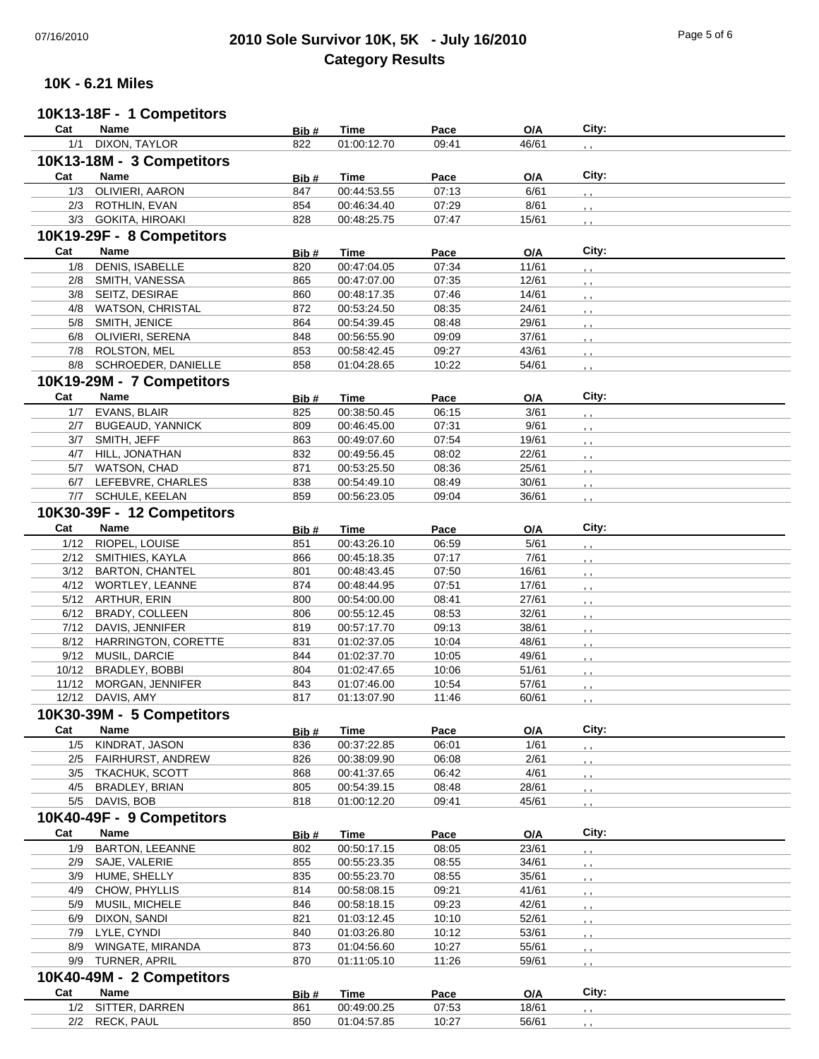# 07/16/2010 **2010 Sole Survivor 10K, 5K - July 16/2010** Page 5 of 6 **Category Results**

## **10K - 6.21 Miles**

#### **10K13-18F - 1 Competitors**

| Cat                       | <b>Name</b>                | Bib#  | Time        | Pace  | O/A   | City:           |  |  |  |  |
|---------------------------|----------------------------|-------|-------------|-------|-------|-----------------|--|--|--|--|
| 1/1                       | DIXON, TAYLOR              | 822   | 01:00:12.70 | 09:41 | 46/61 | , ,             |  |  |  |  |
|                           | 10K13-18M - 3 Competitors  |       |             |       |       |                 |  |  |  |  |
| Cat                       | Name                       | Bib#  | Time        | Pace  | O/A   | City:           |  |  |  |  |
| 1/3                       | OLIVIERI, AARON            | 847   | 00:44:53.55 | 07:13 | 6/61  |                 |  |  |  |  |
|                           |                            |       |             |       |       | , ,             |  |  |  |  |
|                           | 2/3 ROTHLIN, EVAN          | 854   | 00:46:34.40 | 07:29 | 8/61  | , ,             |  |  |  |  |
|                           | 3/3 GOKITA, HIROAKI        | 828   | 00:48:25.75 | 07:47 | 15/61 | , ,             |  |  |  |  |
| 10K19-29F - 8 Competitors |                            |       |             |       |       |                 |  |  |  |  |
| Cat                       | Name                       | Bib#  | Time        | Pace  | O/A   | City:           |  |  |  |  |
| 1/8                       | DENIS, ISABELLE            | 820   | 00:47:04.05 | 07:34 | 11/61 | , ,             |  |  |  |  |
| 2/8                       | SMITH, VANESSA             | 865   | 00:47:07.00 | 07:35 | 12/61 | , ,             |  |  |  |  |
| 3/8                       | SEITZ, DESIRAE             | 860   | 00:48:17.35 | 07:46 | 14/61 |                 |  |  |  |  |
| 4/8                       | WATSON, CHRISTAL           | 872   | 00:53:24.50 | 08:35 | 24/61 | , ,             |  |  |  |  |
| 5/8                       | SMITH, JENICE              | 864   | 00:54:39.45 | 08:48 | 29/61 | , ,             |  |  |  |  |
| 6/8                       | OLIVIERI, SERENA           | 848   | 00:56:55.90 | 09:09 | 37/61 | , ,             |  |  |  |  |
|                           |                            |       |             |       |       | $, \, ,$        |  |  |  |  |
|                           | 7/8 ROLSTON, MEL           | 853   | 00:58:42.45 | 09:27 | 43/61 | , ,             |  |  |  |  |
|                           | 8/8 SCHROEDER, DANIELLE    | 858   | 01:04:28.65 | 10:22 | 54/61 | $, \, ,$        |  |  |  |  |
| 10K19-29M - 7 Competitors |                            |       |             |       |       |                 |  |  |  |  |
| Cat                       | Name                       | Bib#  | <b>Time</b> | Pace  | O/A   | City:           |  |  |  |  |
| 1/7                       | <b>EVANS, BLAIR</b>        | 825   | 00:38:50.45 | 06:15 | 3/61  | , ,             |  |  |  |  |
| 2/7                       | <b>BUGEAUD, YANNICK</b>    | 809   | 00:46:45.00 | 07:31 | 9/61  | , ,             |  |  |  |  |
| 3/7                       | SMITH, JEFF                | 863   | 00:49:07.60 | 07:54 | 19/61 | , ,             |  |  |  |  |
| 4/7                       | HILL, JONATHAN             | 832   | 00:49:56.45 | 08:02 | 22/61 |                 |  |  |  |  |
|                           | 5/7 WATSON, CHAD           | 871   | 00:53:25.50 | 08:36 | 25/61 | $, \cdot$       |  |  |  |  |
| 6/7                       | LEFEBVRE, CHARLES          | 838   | 00:54:49.10 | 08:49 | 30/61 | , ,             |  |  |  |  |
|                           | 7/7 SCHULE, KEELAN         | 859   | 00:56:23.05 | 09:04 | 36/61 | , ,             |  |  |  |  |
|                           |                            |       |             |       |       | , ,             |  |  |  |  |
|                           | 10K30-39F - 12 Competitors |       |             |       |       |                 |  |  |  |  |
| Cat                       | Name                       | Bib # | <b>Time</b> | Pace  | O/A   | City:           |  |  |  |  |
| 1/12                      | RIOPEL, LOUISE             | 851   | 00:43:26.10 | 06:59 | 5/61  | , ,             |  |  |  |  |
|                           | 2/12 SMITHIES, KAYLA       | 866   | 00:45:18.35 | 07:17 | 7/61  | $, \, , \,$     |  |  |  |  |
|                           | 3/12 BARTON, CHANTEL       | 801   | 00:48:43.45 | 07:50 | 16/61 | , ,             |  |  |  |  |
|                           | 4/12 WORTLEY, LEANNE       | 874   | 00:48:44.95 | 07:51 | 17/61 | $, \, ,$        |  |  |  |  |
|                           | 5/12 ARTHUR, ERIN          | 800   | 00:54:00.00 | 08:41 | 27/61 | $, \, ,$        |  |  |  |  |
|                           | 6/12 BRADY, COLLEEN        | 806   | 00:55:12.45 | 08:53 | 32/61 | , ,             |  |  |  |  |
|                           | 7/12 DAVIS, JENNIFER       | 819   | 00:57:17.70 | 09:13 | 38/61 | $, \, ,$        |  |  |  |  |
|                           | 8/12 HARRINGTON, CORETTE   | 831   | 01:02:37.05 | 10:04 | 48/61 | $, \, ,$        |  |  |  |  |
|                           | 9/12 MUSIL, DARCIE         | 844   | 01:02:37.70 | 10:05 | 49/61 | $, \, ,$        |  |  |  |  |
|                           | 10/12 BRADLEY, BOBBI       | 804   | 01:02:47.65 | 10:06 | 51/61 | $, \, \, \cdot$ |  |  |  |  |
|                           | 11/12 MORGAN, JENNIFER     | 843   | 01:07:46.00 | 10:54 | 57/61 |                 |  |  |  |  |
|                           | 12/12 DAVIS, AMY           | 817   | 01:13:07.90 | 11:46 | 60/61 | , ,             |  |  |  |  |
|                           |                            |       |             |       |       | , ,             |  |  |  |  |
|                           | 10K30-39M - 5 Competitors  |       |             |       |       |                 |  |  |  |  |
| Cat                       | Name                       | Bib#  | <b>Time</b> | Pace  | O/A   | City:           |  |  |  |  |
| 1/5                       | KINDRAT, JASON             | 836   | 00:37:22.85 | 06:01 | 1/61  |                 |  |  |  |  |
| 2/5                       | <b>FAIRHURST, ANDREW</b>   | 826   | 00:38:09.90 | 06:08 | 2/61  |                 |  |  |  |  |
|                           | 3/5 TKACHUK, SCOTT         | 868   | 00:41:37.65 | 06:42 | 4/61  |                 |  |  |  |  |
| 4/5                       | BRADLEY, BRIAN             | 805   | 00:54:39.15 | 08:48 | 28/61 |                 |  |  |  |  |
|                           | 5/5 DAVIS, BOB             | 818   | 01:00:12.20 | 09:41 | 45/61 |                 |  |  |  |  |
|                           | 10K40-49F - 9 Competitors  |       |             |       |       |                 |  |  |  |  |
| Cat                       | Name                       |       |             |       |       | City:           |  |  |  |  |
|                           |                            | Bib#  | <b>Time</b> | Pace  | O/A   |                 |  |  |  |  |
| 1/9                       | <b>BARTON, LEEANNE</b>     | 802   | 00:50:17.15 | 08:05 | 23/61 | , ,             |  |  |  |  |
|                           | 2/9 SAJE, VALERIE          | 855   | 00:55:23.35 | 08:55 | 34/61 |                 |  |  |  |  |
|                           | 3/9 HUME, SHELLY           | 835   | 00:55:23.70 | 08:55 | 35/61 |                 |  |  |  |  |
| 4/9                       | CHOW, PHYLLIS              | 814   | 00:58:08.15 | 09:21 | 41/61 |                 |  |  |  |  |
| 5/9                       | MUSIL, MICHELE             | 846   | 00:58:18.15 | 09:23 | 42/61 |                 |  |  |  |  |
|                           | 6/9 DIXON, SANDI           | 821   | 01:03:12.45 | 10:10 | 52/61 |                 |  |  |  |  |
|                           | 7/9 LYLE, CYNDI            | 840   | 01:03:26.80 | 10:12 | 53/61 |                 |  |  |  |  |
| 8/9                       | WINGATE, MIRANDA           | 873   | 01:04:56.60 | 10:27 | 55/61 |                 |  |  |  |  |
| 9/9                       | TURNER, APRIL              | 870   | 01:11:05.10 | 11:26 | 59/61 | , ,             |  |  |  |  |
| 10K40-49M - 2 Competitors |                            |       |             |       |       |                 |  |  |  |  |
| Cat                       | Name                       |       | Time        | Pace  | O/A   | City:           |  |  |  |  |
| 1/2                       | SITTER, DARREN             | Bib#  | 00:49:00.25 |       | 18/61 |                 |  |  |  |  |
|                           |                            | 861   |             | 07:53 |       |                 |  |  |  |  |
|                           | 2/2 RECK, PAUL             | 850   | 01:04:57.85 | 10:27 | 56/61 | , ,             |  |  |  |  |